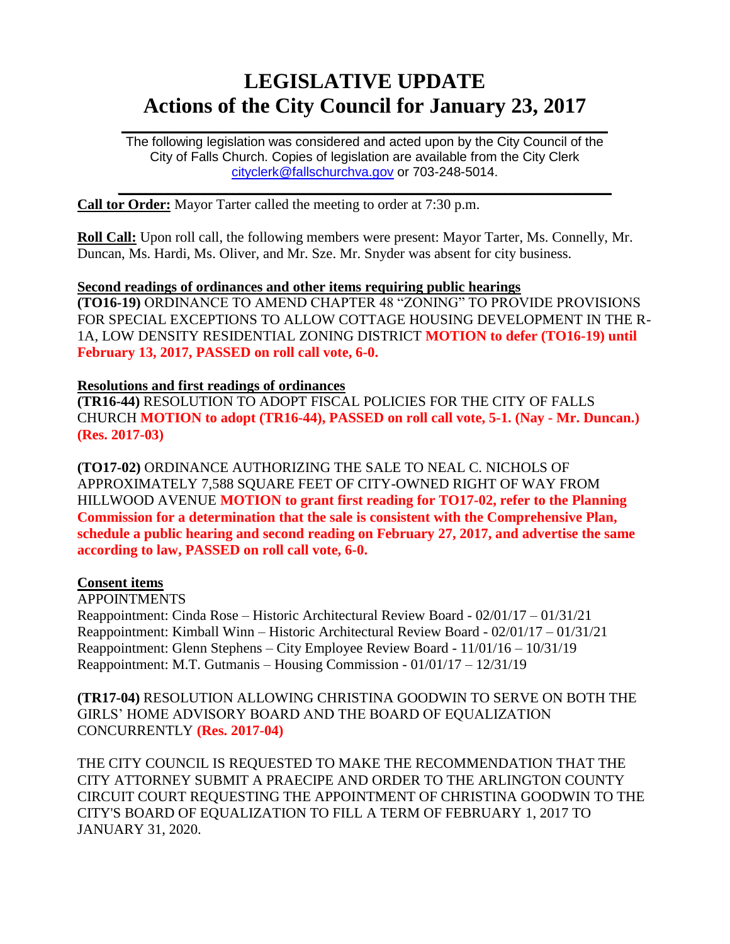# **LEGISLATIVE UPDATE Actions of the City Council for January 23, 2017**

The following legislation was considered and acted upon by the City Council of the City of Falls Church. Copies of legislation are available from the City Clerk [cityclerk@fallschurchva.gov](mailto:cityclerk@fallschurchva.gov) or 703-248-5014.

 $\mathcal{L}_\text{max}$  and  $\mathcal{L}_\text{max}$  and  $\mathcal{L}_\text{max}$  and  $\mathcal{L}_\text{max}$  and  $\mathcal{L}_\text{max}$  and  $\mathcal{L}_\text{max}$ 

 $\mathcal{L}_\mathcal{L} = \mathcal{L}_\mathcal{L} = \mathcal{L}_\mathcal{L} = \mathcal{L}_\mathcal{L} = \mathcal{L}_\mathcal{L} = \mathcal{L}_\mathcal{L} = \mathcal{L}_\mathcal{L} = \mathcal{L}_\mathcal{L} = \mathcal{L}_\mathcal{L} = \mathcal{L}_\mathcal{L} = \mathcal{L}_\mathcal{L} = \mathcal{L}_\mathcal{L} = \mathcal{L}_\mathcal{L} = \mathcal{L}_\mathcal{L} = \mathcal{L}_\mathcal{L} = \mathcal{L}_\mathcal{L} = \mathcal{L}_\mathcal{L}$ 

**Call tor Order:** Mayor Tarter called the meeting to order at 7:30 p.m.

**Roll Call:** Upon roll call, the following members were present: Mayor Tarter, Ms. Connelly, Mr. Duncan, Ms. Hardi, Ms. Oliver, and Mr. Sze. Mr. Snyder was absent for city business.

**Second readings of ordinances and other items requiring public hearings (TO16-19)** ORDINANCE TO AMEND CHAPTER 48 "ZONING" TO PROVIDE PROVISIONS FOR SPECIAL EXCEPTIONS TO ALLOW COTTAGE HOUSING DEVELOPMENT IN THE R-1A, LOW DENSITY RESIDENTIAL ZONING DISTRICT **MOTION to defer (TO16-19) until February 13, 2017, PASSED on roll call vote, 6-0.**

#### **Resolutions and first readings of ordinances**

**(TR16-44)** RESOLUTION TO ADOPT FISCAL POLICIES FOR THE CITY OF FALLS CHURCH **MOTION to adopt (TR16-44), PASSED on roll call vote, 5-1. (Nay - Mr. Duncan.) (Res. 2017-03)**

**(TO17-02)** ORDINANCE AUTHORIZING THE SALE TO NEAL C. NICHOLS OF APPROXIMATELY 7,588 SQUARE FEET OF CITY-OWNED RIGHT OF WAY FROM HILLWOOD AVENUE **MOTION to grant first reading for TO17-02, refer to the Planning Commission for a determination that the sale is consistent with the Comprehensive Plan, schedule a public hearing and second reading on February 27, 2017, and advertise the same according to law, PASSED on roll call vote, 6-0.**

## **Consent items**

APPOINTMENTS Reappointment: Cinda Rose – Historic Architectural Review Board - 02/01/17 – 01/31/21 Reappointment: Kimball Winn – Historic Architectural Review Board - 02/01/17 – 01/31/21 Reappointment: Glenn Stephens – City Employee Review Board - 11/01/16 – 10/31/19 Reappointment: M.T. Gutmanis – Housing Commission - 01/01/17 – 12/31/19

**(TR17-04)** RESOLUTION ALLOWING CHRISTINA GOODWIN TO SERVE ON BOTH THE GIRLS' HOME ADVISORY BOARD AND THE BOARD OF EQUALIZATION CONCURRENTLY **(Res. 2017-04)**

THE CITY COUNCIL IS REQUESTED TO MAKE THE RECOMMENDATION THAT THE CITY ATTORNEY SUBMIT A PRAECIPE AND ORDER TO THE ARLINGTON COUNTY CIRCUIT COURT REQUESTING THE APPOINTMENT OF CHRISTINA GOODWIN TO THE CITY'S BOARD OF EQUALIZATION TO FILL A TERM OF FEBRUARY 1, 2017 TO JANUARY 31, 2020.